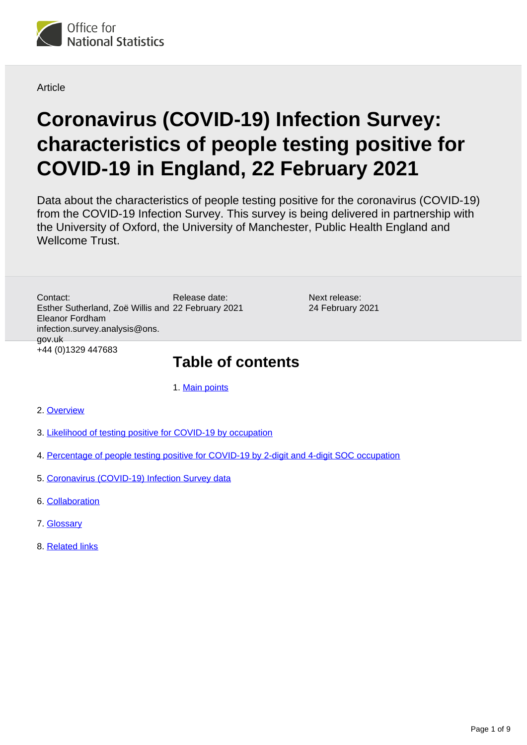

**Article** 

# **Coronavirus (COVID-19) Infection Survey: characteristics of people testing positive for COVID-19 in England, 22 February 2021**

Data about the characteristics of people testing positive for the coronavirus (COVID-19) from the COVID-19 Infection Survey. This survey is being delivered in partnership with the University of Oxford, the University of Manchester, Public Health England and Wellcome Trust.

Release date: Esther Sutherland, Zoë Willis and 22 February 2021 Contact: Eleanor Fordham infection.survey.analysis@ons. gov.uk +44 (0)1329 447683

Next release: 24 February 2021

## **Table of contents**

1. [Main points](#page-1-0)

- 2. [Overview](#page-1-1)
- 3. [Likelihood of testing positive for COVID-19 by occupation](#page-2-0)
- 4. [Percentage of people testing positive for COVID-19 by 2-digit and 4-digit SOC occupation](#page-6-0)
- 5. [Coronavirus \(COVID-19\) Infection Survey data](#page-7-0)
- 6. [Collaboration](#page-7-1)
- 7. [Glossary](#page-7-2)
- 8. [Related links](#page-8-0)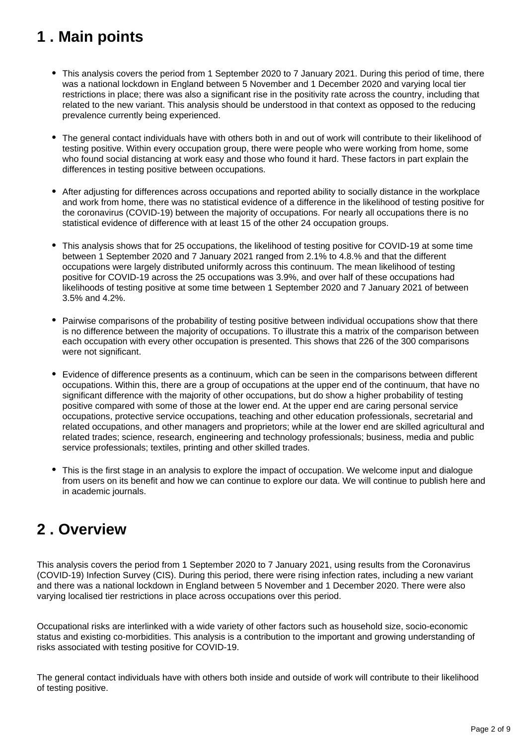## <span id="page-1-0"></span>**1 . Main points**

- This analysis covers the period from 1 September 2020 to 7 January 2021. During this period of time, there was a national lockdown in England between 5 November and 1 December 2020 and varying local tier restrictions in place; there was also a significant rise in the positivity rate across the country, including that related to the new variant. This analysis should be understood in that context as opposed to the reducing prevalence currently being experienced.
- The general contact individuals have with others both in and out of work will contribute to their likelihood of testing positive. Within every occupation group, there were people who were working from home, some who found social distancing at work easy and those who found it hard. These factors in part explain the differences in testing positive between occupations.
- After adjusting for differences across occupations and reported ability to socially distance in the workplace and work from home, there was no statistical evidence of a difference in the likelihood of testing positive for the coronavirus (COVID-19) between the majority of occupations. For nearly all occupations there is no statistical evidence of difference with at least 15 of the other 24 occupation groups.
- This analysis shows that for 25 occupations, the likelihood of testing positive for COVID-19 at some time between 1 September 2020 and 7 January 2021 ranged from 2.1% to 4.8.% and that the different occupations were largely distributed uniformly across this continuum. The mean likelihood of testing positive for COVID-19 across the 25 occupations was 3.9%, and over half of these occupations had likelihoods of testing positive at some time between 1 September 2020 and 7 January 2021 of between 3.5% and 4.2%.
- Pairwise comparisons of the probability of testing positive between individual occupations show that there is no difference between the majority of occupations. To illustrate this a matrix of the comparison between each occupation with every other occupation is presented. This shows that 226 of the 300 comparisons were not significant.
- Evidence of difference presents as a continuum, which can be seen in the comparisons between different occupations. Within this, there are a group of occupations at the upper end of the continuum, that have no significant difference with the majority of other occupations, but do show a higher probability of testing positive compared with some of those at the lower end. At the upper end are caring personal service occupations, protective service occupations, teaching and other education professionals, secretarial and related occupations, and other managers and proprietors; while at the lower end are skilled agricultural and related trades; science, research, engineering and technology professionals; business, media and public service professionals; textiles, printing and other skilled trades.
- This is the first stage in an analysis to explore the impact of occupation. We welcome input and dialogue from users on its benefit and how we can continue to explore our data. We will continue to publish here and in academic journals.

## <span id="page-1-1"></span>**2 . Overview**

This analysis covers the period from 1 September 2020 to 7 January 2021, using results from the Coronavirus (COVID-19) Infection Survey (CIS). During this period, there were rising infection rates, including a new variant and there was a national lockdown in England between 5 November and 1 December 2020. There were also varying localised tier restrictions in place across occupations over this period.

Occupational risks are interlinked with a wide variety of other factors such as household size, socio-economic status and existing co-morbidities. This analysis is a contribution to the important and growing understanding of risks associated with testing positive for COVID-19.

The general contact individuals have with others both inside and outside of work will contribute to their likelihood of testing positive.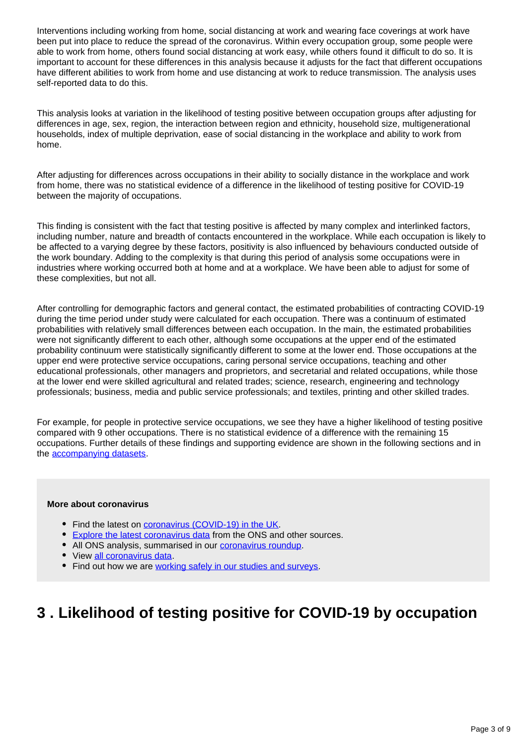Interventions including working from home, social distancing at work and wearing face coverings at work have been put into place to reduce the spread of the coronavirus. Within every occupation group, some people were able to work from home, others found social distancing at work easy, while others found it difficult to do so. It is important to account for these differences in this analysis because it adjusts for the fact that different occupations have different abilities to work from home and use distancing at work to reduce transmission. The analysis uses self-reported data to do this.

This analysis looks at variation in the likelihood of testing positive between occupation groups after adjusting for differences in age, sex, region, the interaction between region and ethnicity, household size, multigenerational households, index of multiple deprivation, ease of social distancing in the workplace and ability to work from home.

After adjusting for differences across occupations in their ability to socially distance in the workplace and work from home, there was no statistical evidence of a difference in the likelihood of testing positive for COVID-19 between the majority of occupations.

This finding is consistent with the fact that testing positive is affected by many complex and interlinked factors, including number, nature and breadth of contacts encountered in the workplace. While each occupation is likely to be affected to a varying degree by these factors, positivity is also influenced by behaviours conducted outside of the work boundary. Adding to the complexity is that during this period of analysis some occupations were in industries where working occurred both at home and at a workplace. We have been able to adjust for some of these complexities, but not all.

After controlling for demographic factors and general contact, the estimated probabilities of contracting COVID-19 during the time period under study were calculated for each occupation. There was a continuum of estimated probabilities with relatively small differences between each occupation. In the main, the estimated probabilities were not significantly different to each other, although some occupations at the upper end of the estimated probability continuum were statistically significantly different to some at the lower end. Those occupations at the upper end were protective service occupations, caring personal service occupations, teaching and other educational professionals, other managers and proprietors, and secretarial and related occupations, while those at the lower end were skilled agricultural and related trades; science, research, engineering and technology professionals; business, media and public service professionals; and textiles, printing and other skilled trades.

For example, for people in protective service occupations, we see they have a higher likelihood of testing positive compared with 9 other occupations. There is no statistical evidence of a difference with the remaining 15 occupations. Further details of these findings and supporting evidence are shown in the following sections and in the [accompanying datasets.](https://www.ons.gov.uk/peoplepopulationandcommunity/healthandsocialcare/conditionsanddiseases/datasets/coronaviruscovid19infectionsinthecommunityinengland)

#### **More about coronavirus**

- Find the latest on [coronavirus \(COVID-19\) in the UK.](https://www.ons.gov.uk/peoplepopulationandcommunity/healthandsocialcare/conditionsanddiseases)
- **[Explore the latest coronavirus data](https://www.ons.gov.uk/peoplepopulationandcommunity/healthandsocialcare/conditionsanddiseases/articles/coronaviruscovid19/latestinsights) from the ONS and other sources.**
- All ONS analysis, summarised in our **coronavirus roundup**.
- View [all coronavirus data](https://www.ons.gov.uk/peoplepopulationandcommunity/healthandsocialcare/conditionsanddiseases/datalist).
- Find out how we are [working safely in our studies and surveys.](https://www.ons.gov.uk/news/statementsandletters/ensuringyoursafetyduringcovid19)

### <span id="page-2-0"></span>**3 . Likelihood of testing positive for COVID-19 by occupation**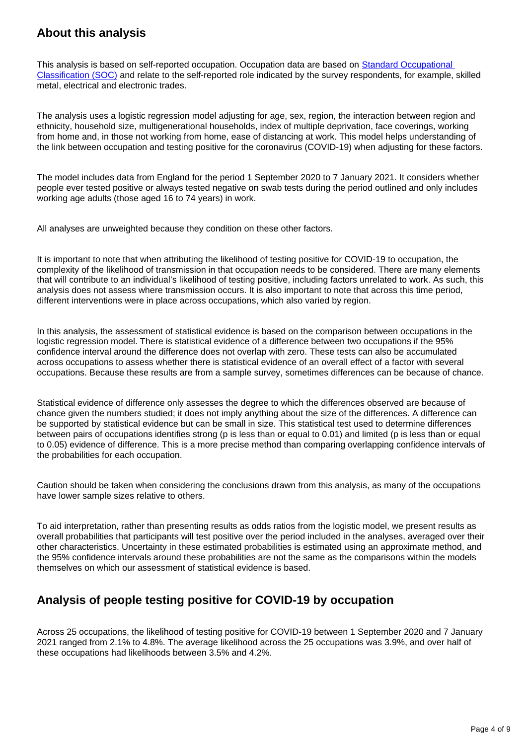### **About this analysis**

This analysis is based on self-reported occupation. Occupation data are based on [Standard Occupational](http://www.ons.gov.uk/methodology/classificationsandstandards/standardoccupationalclassificationsoc/soc2020/soc2020volume2codingrulesandconventions)  [Classification \(SOC\)](http://www.ons.gov.uk/methodology/classificationsandstandards/standardoccupationalclassificationsoc/soc2020/soc2020volume2codingrulesandconventions) and relate to the self-reported role indicated by the survey respondents, for example, skilled metal, electrical and electronic trades.

The analysis uses a logistic regression model adjusting for age, sex, region, the interaction between region and ethnicity, household size, multigenerational households, index of multiple deprivation, face coverings, working from home and, in those not working from home, ease of distancing at work. This model helps understanding of the link between occupation and testing positive for the coronavirus (COVID-19) when adjusting for these factors.

The model includes data from England for the period 1 September 2020 to 7 January 2021. It considers whether people ever tested positive or always tested negative on swab tests during the period outlined and only includes working age adults (those aged 16 to 74 years) in work.

All analyses are unweighted because they condition on these other factors.

It is important to note that when attributing the likelihood of testing positive for COVID-19 to occupation, the complexity of the likelihood of transmission in that occupation needs to be considered. There are many elements that will contribute to an individual's likelihood of testing positive, including factors unrelated to work. As such, this analysis does not assess where transmission occurs. It is also important to note that across this time period, different interventions were in place across occupations, which also varied by region.

In this analysis, the assessment of statistical evidence is based on the comparison between occupations in the logistic regression model. There is statistical evidence of a difference between two occupations if the 95% confidence interval around the difference does not overlap with zero. These tests can also be accumulated across occupations to assess whether there is statistical evidence of an overall effect of a factor with several occupations. Because these results are from a sample survey, sometimes differences can be because of chance.

Statistical evidence of difference only assesses the degree to which the differences observed are because of chance given the numbers studied; it does not imply anything about the size of the differences. A difference can be supported by statistical evidence but can be small in size. This statistical test used to determine differences between pairs of occupations identifies strong (p is less than or equal to 0.01) and limited (p is less than or equal to 0.05) evidence of difference. This is a more precise method than comparing overlapping confidence intervals of the probabilities for each occupation.

Caution should be taken when considering the conclusions drawn from this analysis, as many of the occupations have lower sample sizes relative to others.

To aid interpretation, rather than presenting results as odds ratios from the logistic model, we present results as overall probabilities that participants will test positive over the period included in the analyses, averaged over their other characteristics. Uncertainty in these estimated probabilities is estimated using an approximate method, and the 95% confidence intervals around these probabilities are not the same as the comparisons within the models themselves on which our assessment of statistical evidence is based.

### **Analysis of people testing positive for COVID-19 by occupation**

Across 25 occupations, the likelihood of testing positive for COVID-19 between 1 September 2020 and 7 January 2021 ranged from 2.1% to 4.8%. The average likelihood across the 25 occupations was 3.9%, and over half of these occupations had likelihoods between 3.5% and 4.2%.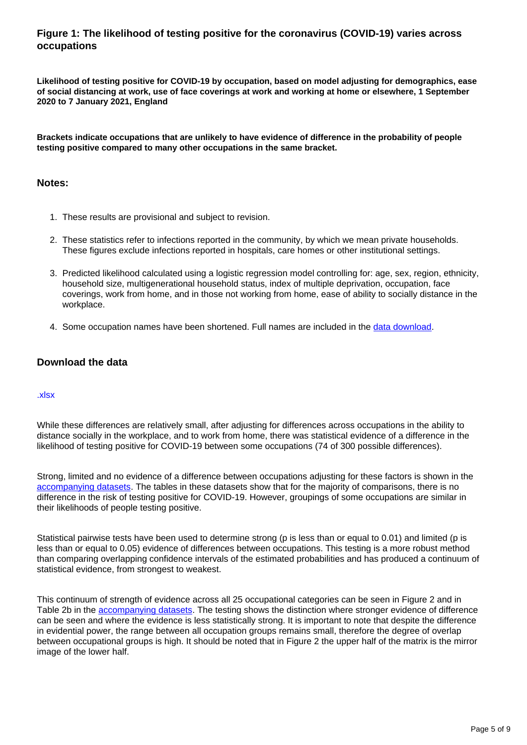### **Figure 1: The likelihood of testing positive for the coronavirus (COVID-19) varies across occupations**

**Likelihood of testing positive for COVID-19 by occupation, based on model adjusting for demographics, ease of social distancing at work, use of face coverings at work and working at home or elsewhere, 1 September 2020 to 7 January 2021, England**

**Brackets indicate occupations that are unlikely to have evidence of difference in the probability of people testing positive compared to many other occupations in the same bracket.**

### **Notes:**

- 1. These results are provisional and subject to revision.
- 2. These statistics refer to infections reported in the community, by which we mean private households. These figures exclude infections reported in hospitals, care homes or other institutional settings.
- 3. Predicted likelihood calculated using a logistic regression model controlling for: age, sex, region, ethnicity, household size, multigenerational household status, index of multiple deprivation, occupation, face coverings, work from home, and in those not working from home, ease of ability to socially distance in the workplace.
- 4. Some occupation names have been shortened. Full names are included in the [data download.](https://www.ons.gov.uk/peoplepopulationandcommunity/healthandsocialcare/conditionsanddiseases/datasets/coronaviruscovid19infectionsinthecommunityinengland)

### **Download the data**

#### [.xlsx](https://www.ons.gov.uk/visualisations/dvc1199/fig2/datadownload.xlsx)

While these differences are relatively small, after adjusting for differences across occupations in the ability to distance socially in the workplace, and to work from home, there was statistical evidence of a difference in the likelihood of testing positive for COVID-19 between some occupations (74 of 300 possible differences).

Strong, limited and no evidence of a difference between occupations adjusting for these factors is shown in the [accompanying datasets.](https://www.ons.gov.uk/peoplepopulationandcommunity/healthandsocialcare/conditionsanddiseases/datasets/coronaviruscovid19infectionsinthecommunityinengland) The tables in these datasets show that for the majority of comparisons, there is no difference in the risk of testing positive for COVID-19. However, groupings of some occupations are similar in their likelihoods of people testing positive.

Statistical pairwise tests have been used to determine strong (p is less than or equal to 0.01) and limited (p is less than or equal to 0.05) evidence of differences between occupations. This testing is a more robust method than comparing overlapping confidence intervals of the estimated probabilities and has produced a continuum of statistical evidence, from strongest to weakest.

This continuum of strength of evidence across all 25 occupational categories can be seen in Figure 2 and in Table 2b in the [accompanying datasets](https://www.ons.gov.uk/peoplepopulationandcommunity/healthandsocialcare/conditionsanddiseases/datasets/coronaviruscovid19infectionsinthecommunityinengland). The testing shows the distinction where stronger evidence of difference can be seen and where the evidence is less statistically strong. It is important to note that despite the difference in evidential power, the range between all occupation groups remains small, therefore the degree of overlap between occupational groups is high. It should be noted that in Figure 2 the upper half of the matrix is the mirror image of the lower half.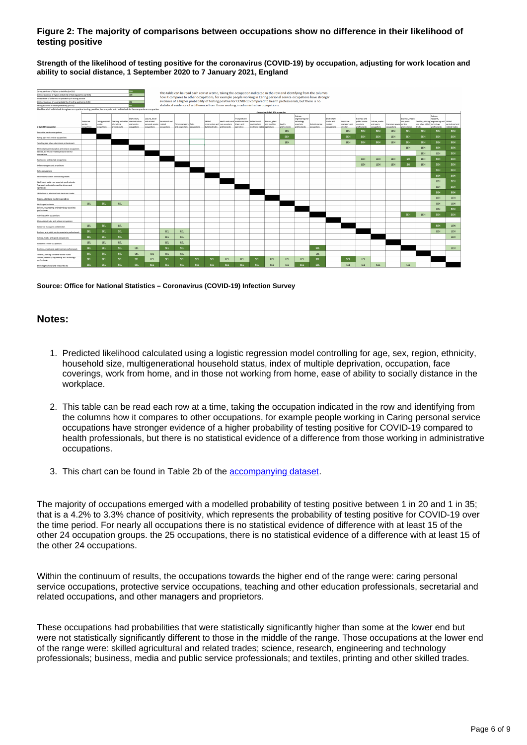#### **Figure 2: The majority of comparisons between occupations show no difference in their likelihood of testing positive**

**Strength of the likelihood of testing positive for the coronavirus (COVID-19) by occupation, adjusting for work location and ability to social distance, 1 September 2020 to 7 January 2021, England**



**Source: Office for National Statistics – Coronavirus (COVID-19) Infection Survey**

#### **Notes:**

- 1. Predicted likelihood calculated using a logistic regression model controlling for age, sex, region, ethnicity, household size, multigenerational household status, index of multiple deprivation, occupation, face coverings, work from home, and in those not working from home, ease of ability to socially distance in the workplace.
- 2. This table can be read each row at a time, taking the occupation indicated in the row and identifying from the columns how it compares to other occupations, for example people working in Caring personal service occupations have stronger evidence of a higher probability of testing positive for COVID-19 compared to health professionals, but there is no statistical evidence of a difference from those working in administrative occupations.
- 3. This chart can be found in Table 2b of the **accompanying dataset**.

The majority of occupations emerged with a modelled probability of testing positive between 1 in 20 and 1 in 35; that is a 4.2% to 3.3% chance of positivity, which represents the probability of testing positive for COVID-19 over the time period. For nearly all occupations there is no statistical evidence of difference with at least 15 of the other 24 occupation groups. the 25 occupations, there is no statistical evidence of a difference with at least 15 of the other 24 occupations.

Within the continuum of results, the occupations towards the higher end of the range were: caring personal service occupations, protective service occupations, teaching and other education professionals, secretarial and related occupations, and other managers and proprietors.

These occupations had probabilities that were statistically significantly higher than some at the lower end but were not statistically significantly different to those in the middle of the range. Those occupations at the lower end of the range were: skilled agricultural and related trades; science, research, engineering and technology professionals; business, media and public service professionals; and textiles, printing and other skilled trades.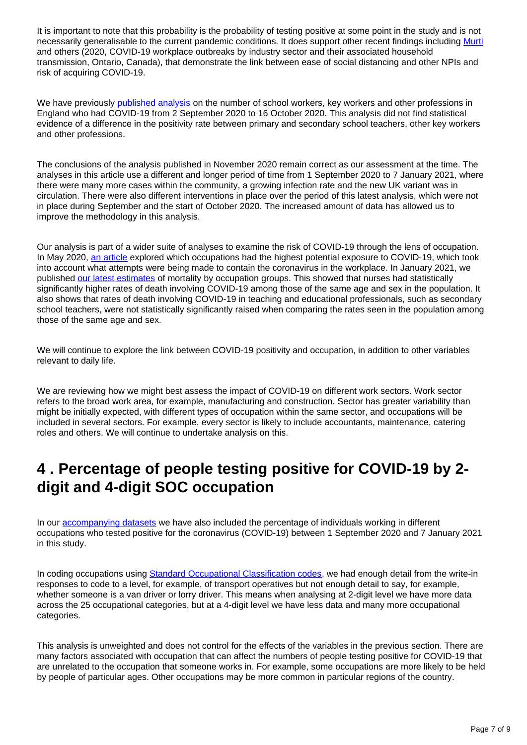It is important to note that this probability is the probability of testing positive at some point in the study and is not necessarily generalisable to the current pandemic conditions. It does support other recent findings including [Murti](https://www.medrxiv.org/content/10.1101/2020.11.25.20239038v1) and others (2020, COVID-19 workplace outbreaks by industry sector and their associated household transmission, Ontario, Canada), that demonstrate the link between ease of social distancing and other NPIs and risk of acquiring COVID-19.

We have previously [published analysis](https://www.ons.gov.uk/peoplepopulationandcommunity/healthandsocialcare/conditionsanddiseases/bulletins/coronaviruscovid19infectionsurveypilot/6november2020#analysis-of-the-number-of-school-workers-key-workers-and-other-professions-in-england-who-had-covid-19) on the number of school workers, key workers and other professions in England who had COVID-19 from 2 September 2020 to 16 October 2020. This analysis did not find statistical evidence of a difference in the positivity rate between primary and secondary school teachers, other key workers and other professions.

The conclusions of the analysis published in November 2020 remain correct as our assessment at the time. The analyses in this article use a different and longer period of time from 1 September 2020 to 7 January 2021, where there were many more cases within the community, a growing infection rate and the new UK variant was in circulation. There were also different interventions in place over the period of this latest analysis, which were not in place during September and the start of October 2020. The increased amount of data has allowed us to improve the methodology in this analysis.

Our analysis is part of a wider suite of analyses to examine the risk of COVID-19 through the lens of occupation. In May 2020, [an article](https://www.ons.gov.uk/employmentandlabourmarket/peopleinwork/employmentandemployeetypes/articles/whichoccupationshavethehighestpotentialexposuretothecoronaviruscovid19/2020-05-11) explored which occupations had the highest potential exposure to COVID-19, which took into account what attempts were being made to contain the coronavirus in the workplace. In January 2021, we published [our latest estimates](https://www.ons.gov.uk/peoplepopulationandcommunity/healthandsocialcare/causesofdeath/bulletins/coronaviruscovid19relateddeathsbyoccupationenglandandwales/deathsregisteredbetween9marchand28december2020) of mortality by occupation groups. This showed that nurses had statistically significantly higher rates of death involving COVID-19 among those of the same age and sex in the population. It also shows that rates of death involving COVID-19 in teaching and educational professionals, such as secondary school teachers, were not statistically significantly raised when comparing the rates seen in the population among those of the same age and sex.

We will continue to explore the link between COVID-19 positivity and occupation, in addition to other variables relevant to daily life.

We are reviewing how we might best assess the impact of COVID-19 on different work sectors. Work sector refers to the broad work area, for example, manufacturing and construction. Sector has greater variability than might be initially expected, with different types of occupation within the same sector, and occupations will be included in several sectors. For example, every sector is likely to include accountants, maintenance, catering roles and others. We will continue to undertake analysis on this.

### <span id="page-6-0"></span>**4 . Percentage of people testing positive for COVID-19 by 2 digit and 4-digit SOC occupation**

In our [accompanying datasets](https://www.ons.gov.uk/peoplepopulationandcommunity/healthandsocialcare/conditionsanddiseases/datasets/coronaviruscovid19infectionsinthecommunityinengland) we have also included the percentage of individuals working in different occupations who tested positive for the coronavirus (COVID-19) between 1 September 2020 and 7 January 2021 in this study.

In coding occupations using [Standard Occupational Classification codes,](https://www.ons.gov.uk/methodology/classificationsandstandards/standardoccupationalclassificationsoc/soc2020/soc2020volume2codingrulesandconventions) we had enough detail from the write-in responses to code to a level, for example, of transport operatives but not enough detail to say, for example, whether someone is a van driver or lorry driver. This means when analysing at 2-digit level we have more data across the 25 occupational categories, but at a 4-digit level we have less data and many more occupational categories.

This analysis is unweighted and does not control for the effects of the variables in the previous section. There are many factors associated with occupation that can affect the numbers of people testing positive for COVID-19 that are unrelated to the occupation that someone works in. For example, some occupations are more likely to be held by people of particular ages. Other occupations may be more common in particular regions of the country.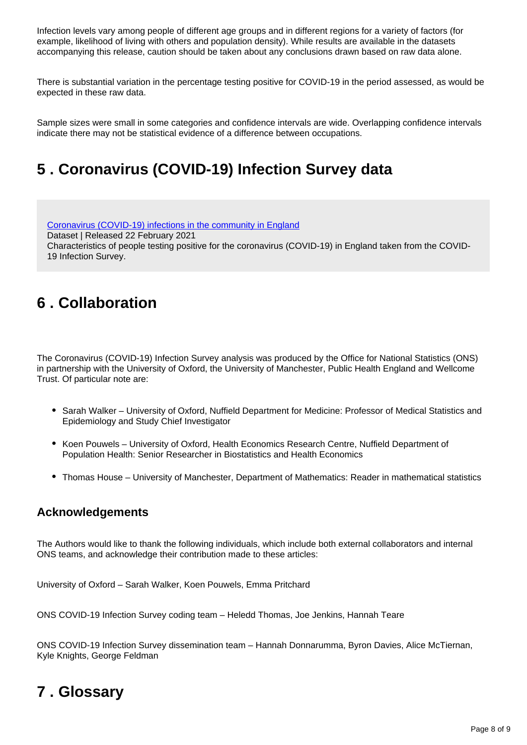Infection levels vary among people of different age groups and in different regions for a variety of factors (for example, likelihood of living with others and population density). While results are available in the datasets accompanying this release, caution should be taken about any conclusions drawn based on raw data alone.

There is substantial variation in the percentage testing positive for COVID-19 in the period assessed, as would be expected in these raw data.

Sample sizes were small in some categories and confidence intervals are wide. Overlapping confidence intervals indicate there may not be statistical evidence of a difference between occupations.

## <span id="page-7-0"></span>**5 . Coronavirus (COVID-19) Infection Survey data**

[Coronavirus \(COVID-19\) infections in the community in England](https://www.ons.gov.uk/peoplepopulationandcommunity/healthandsocialcare/conditionsanddiseases/datasets/coronaviruscovid19infectionsinthecommunityinengland) Dataset | Released 22 February 2021 Characteristics of people testing positive for the coronavirus (COVID-19) in England taken from the COVID-19 Infection Survey.

### <span id="page-7-1"></span>**6 . Collaboration**

The Coronavirus (COVID-19) Infection Survey analysis was produced by the Office for National Statistics (ONS) in partnership with the University of Oxford, the University of Manchester, Public Health England and Wellcome Trust. Of particular note are:

- Sarah Walker University of Oxford, Nuffield Department for Medicine: Professor of Medical Statistics and Epidemiology and Study Chief Investigator
- Koen Pouwels University of Oxford, Health Economics Research Centre, Nuffield Department of Population Health: Senior Researcher in Biostatistics and Health Economics
- Thomas House University of Manchester, Department of Mathematics: Reader in mathematical statistics

### **Acknowledgements**

The Authors would like to thank the following individuals, which include both external collaborators and internal ONS teams, and acknowledge their contribution made to these articles:

University of Oxford – Sarah Walker, Koen Pouwels, Emma Pritchard

ONS COVID-19 Infection Survey coding team – Heledd Thomas, Joe Jenkins, Hannah Teare

ONS COVID-19 Infection Survey dissemination team – Hannah Donnarumma, Byron Davies, Alice McTiernan, Kyle Knights, George Feldman

### <span id="page-7-2"></span>**7 . Glossary**